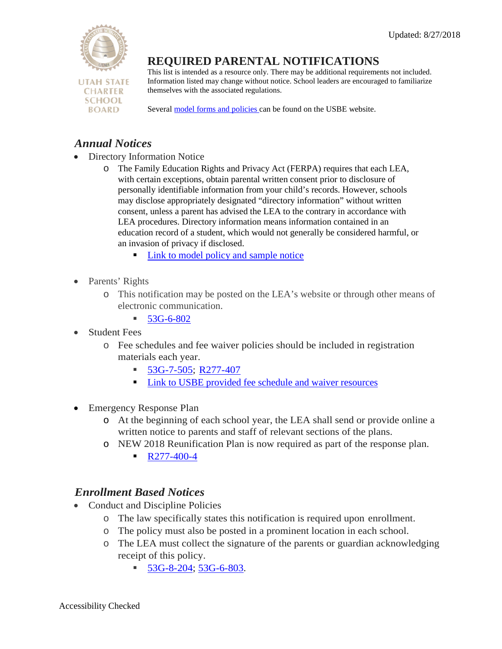

# **REQUIRED PARENTAL NOTIFICATIONS**

This list is intended as a resource only. There may be additional requirements not included. Information listed may change without notice. School leaders are encouraged to familiarize themselves with the associated regulations.

Several [model forms and policies c](https://schools.utah.gov/policy/resources)an be found on the USBE website.

## *Annual Notices*

- Directory Information Notice
	- o The Family Education Rights and Privacy Act (FERPA) requires that each LEA, with certain exceptions, obtain parental written consent prior to disclosure of personally identifiable information from your child's records. However, schools may disclose appropriately designated "directory information" without written consent, unless a parent has advised the LEA to the contrary in accordance with LEA procedures. Directory information means information contained in an education record of a student, which would not generally be considered harmful, or an invasion of privacy if disclosed.
		- **Link to model policy and sample notice**
- Parents' Rights
	- o This notification may be posted on the LEA's website or through other means of electronic communication.
		- $-53G-6-802$  $-53G-6-802$
- **Student Fees** 
	- o Fee schedules and fee waiver policies should be included in registration materials each year.
		- $\blacksquare$  [53G-7-505;](https://le.utah.gov/xcode/Title53G/Chapter7/53G-7-S505.html?v=C53G-7-S505_2018012420180124) [R277-407](https://rules.utah.gov/publicat/code/r277/r277-407.htm)
		- **Link to USBE provided fee schedule and waiver resources**
- Emergency Response Plan
	- o At the beginning of each school year, the LEA shall send or provide online a written notice to parents and staff of relevant sections of the plans.
	- o NEW 2018 Reunification Plan is now required as part of the response plan.  $\blacksquare$  [R277-400-4](https://rules.utah.gov/publicat/code/r277/r277-400.htm)

## *Enrollment Based Notices*

- Conduct and Discipline Policies
	- o The law specifically states this notification is required upon enrollment.
	- o The policy must also be posted in a prominent location in each school.
	- o The LEA must collect the signature of the parents or guardian acknowledging receipt of this policy.
		- $\blacksquare$  [53G-8-204;](https://le.utah.gov/xcode/Title53G/Chapter8/53G-8-S204.html?v=C53G-8-S204_2018012420180124) [53G-6-803.](https://le.utah.gov/xcode/Title53G/Chapter6/53G-6-S803.html)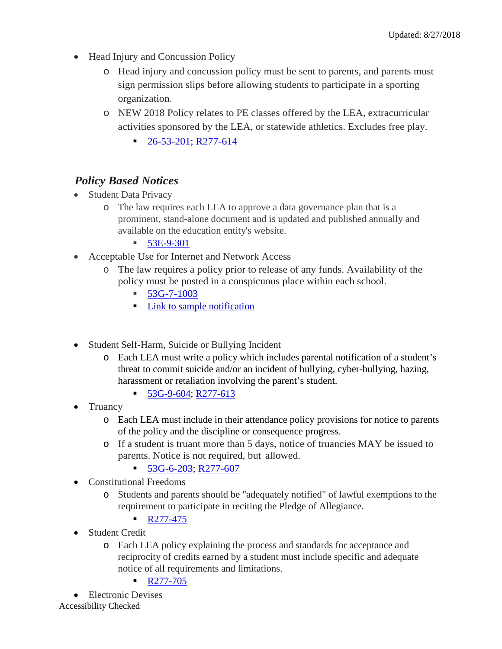- Head Injury and Concussion Policy
	- o Head injury and concussion policy must be sent to parents, and parents must sign permission slips before allowing students to participate in a sporting organization.
	- o NEW 2018 Policy relates to PE classes offered by the LEA, extracurricular activities sponsored by the LEA, or statewide athletics. Excludes free play.
		- [26-53-201;](https://le.utah.gov/xcode/Title26/Chapter53/26-53-S201.html?v=C26-53-S201_1800010118000101) [R277-614](https://schools.utah.gov/File/04cf3ce6-5c69-4964-9945-d7e5585527c9)

### *Policy Based Notices*

- Student Data Privacy
	- o The law requires each LEA to approve a data governance plan that is a prominent, stand-alone document and is updated and published annually and available on the education entity's website.
		- $\blacksquare$  [53E-9-301](https://le.utah.gov/xcode/Title53E/Chapter9/53E-9-S301.html)
- Acceptable Use for Internet and Network Access
	- o The law requires a policy prior to release of any funds. Availability of the policy must be posted in a conspicuous place within each school.
		- [53G-7-1003](https://le.utah.gov/xcode/Title53G/Chapter7/53G-7-S1003.html)
		- **[Link to sample notification](https://www.uen.org/policy/downloads/AUP_student.pdf)**
- Student Self-Harm, Suicide or Bullying Incident
	- o Each LEA must write a policy which includes parental notification of a student's threat to commit suicide and/or an incident of bullying, cyber-bullying, hazing, harassment or retaliation involving the parent's student.
		- [53G-9-604;](https://le.utah.gov/xcode/Title53G/Chapter9/53G-9-S604.html?v=C53G-9-S604_2018012420180124) [R277-613](https://rules.utah.gov/publicat/code/r277/r277-613.htm)
- Truancy
	- o Each LEA must include in their attendance policy provisions for notice to parents of the policy and the discipline or consequence progress.
	- o If a student is truant more than 5 days, notice of truancies MAY be issued to parents. Notice is not required, but allowed.
		- $\blacksquare$  [53G-6-203;](https://le.utah.gov/xcode/Title53G/Chapter6/53G-6-S203.html?v=C53G-6-S203_2018012420180124) [R277-607](https://rules.utah.gov/publicat/code/r277/r277-607.htm)
- Constitutional Freedoms
	- o Students and parents should be "adequately notified" of lawful exemptions to the requirement to participate in reciting the Pledge of Allegiance.
		- $\blacksquare$  [R277-475](https://rules.utah.gov/publicat/code/r277/r277-475.htm)
- Student Credit
	- o Each LEA policy explaining the process and standards for acceptance and reciprocity of credits earned by a student must include specific and adequate notice of all requirements and limitations.
		- $\blacksquare$  [R277-705](https://rules.utah.gov/publicat/code/r277/r277-705.htm)

Accessibility Checked • Electronic Devises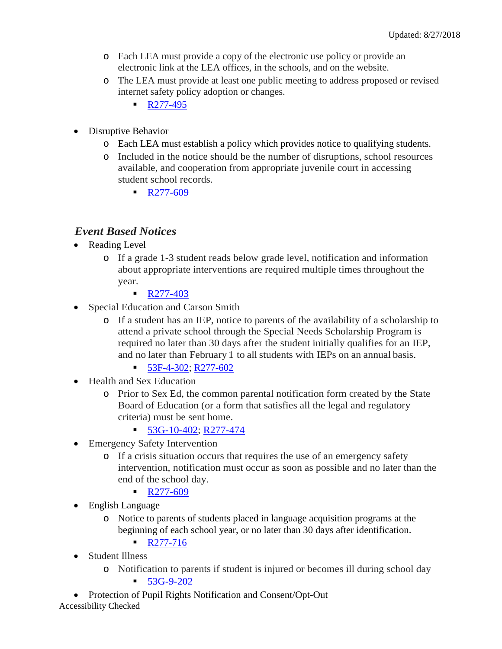- o Each LEA must provide a copy of the electronic use policy or provide an electronic link at the LEA offices, in the schools, and on the website.
- o The LEA must provide at least one public meeting to address proposed or revised internet safety policy adoption or changes.
	- $\blacksquare$  [R277-495](https://rules.utah.gov/publicat/code/r277/r277-495.htm#T4)
- Disruptive Behavior
	- o Each LEA must establish a policy which provides notice to qualifying students.
	- o Included in the notice should be the number of disruptions, school resources available, and cooperation from appropriate juvenile court in accessing student school records.
		- $R277-609$

### *Event Based Notices*

- Reading Level
	- o If a grade 1-3 student reads below grade level, notification and information about appropriate interventions are required multiple times throughout the year.
		- [R277-403](https://rules.utah.gov/publicat/code/r277/r277-403.htm)
- Special Education and Carson Smith
	- o If a student has an IEP, notice to parents of the availability of a scholarship to attend a private school through the Special Needs Scholarship Program is required no later than 30 days after the student initially qualifies for an IEP, and no later than February 1 to all students with IEPs on an annual basis.
		- [53F-4-302;](https://le.utah.gov/xcode/Title53F/Chapter4/53F-4-S302.html?v=C53F-4-S302_2018050820180508) [R277-602](https://rules.utah.gov/publicat/code/r277/r277-602.htm)
- Health and Sex Education
	- o Prior to Sex Ed, the common parental notification form created by the State Board of Education (or a form that satisfies all the legal and regulatory criteria) must be sent home.
		- $\blacksquare$  [53G-10-402;](https://le.utah.gov/xcode/Title53G/Chapter10/53G-10-S402.html?v=C53G-10-S402_2018050820180508) [R277-474](https://rules.utah.gov/publicat/code/r277/r277-474.htm)
- Emergency Safety Intervention
	- o If a crisis situation occurs that requires the use of an emergency safety intervention, notification must occur as soon as possible and no later than the end of the school day.
		- $\blacksquare$  [R277-609](https://rules.utah.gov/publicat/code/r277/r277-609.htm)
- English Language
	- o Notice to parents of students placed in language acquisition programs at the beginning of each school year, or no later than 30 days after identification.
		- $\blacksquare$  [R277-716](https://rules.utah.gov/publicat/code/r277/r277-716.htm)
- Student Illness
	- o Notification to parents if student is injured or becomes ill during school day

 $-53G-9-202$  $-53G-9-202$ 

Accessibility Checked • Protection of Pupil Rights Notification and Consent/Opt-Out